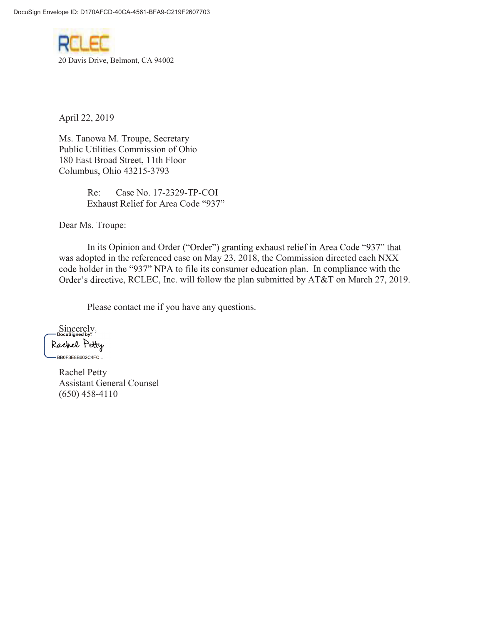

April 22, 2019

Ms. Tanowa M. Troupe, Secretary Public Utilities Commission of Ohio 180 East Broad Street, 11th Floor Columbus, Ohio 43215-3793

> Re: Case No. 17-2329-TP-COI Exhaust Relief for Area Code "937"

Dear Ms. Troupe:

In its Opinion and Order ("Order") granting exhaust relief in Area Code "937" that was adopted in the referenced case on May 23, 2018, the Commission directed each NXX code holder in the "937" NPA to file its consumer education plan. In compliance with the Order's directive, RCLEC, Inc. will follow the plan submitted by AT&T on March 27, 2019.

Please contact me if you have any questions.

Sincerely, Sincerely,Rachel Petty -BB0F3E8B602C4FC...

> Rachel Petty Assistant General Counsel (650) 458-4110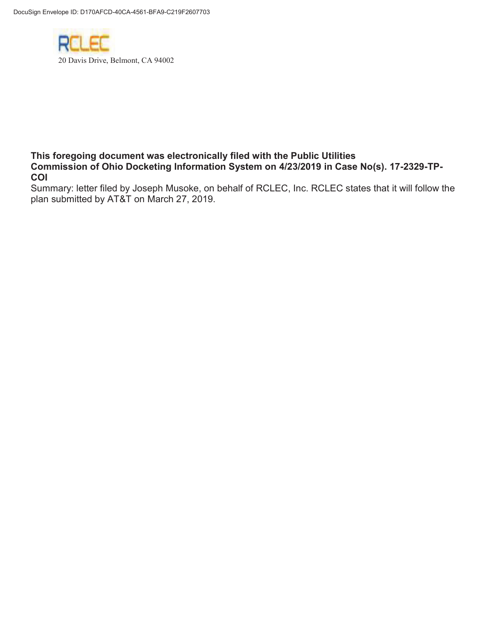

## This foregoing document was electronically filed with the Public Utilities Commission of Ohio Docketing Information System on 4/23/2019 in Case No(s). 17-2329-TP-COI

Summary: letter filed by Joseph Musoke, on behalf of RCLEC, Inc. RCLEC states that it will follow the plan submitted by AT&T on March 27, 2019.